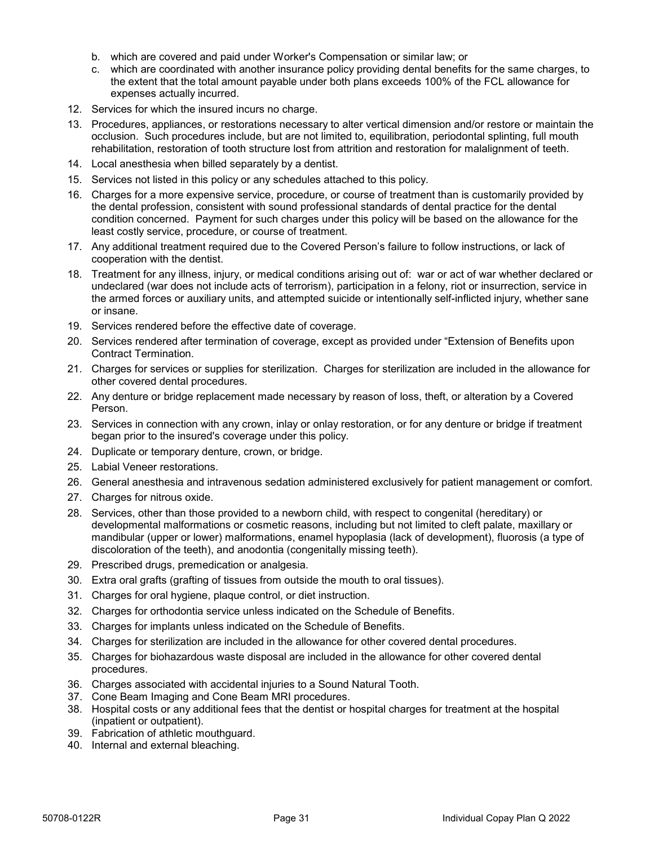- b. which are covered and paid under Worker's Compensation or similar law; or
- c. which are coordinated with another insurance policy providing dental benefits for the same charges, to the extent that the total amount payable under both plans exceeds 100% of the FCL allowance for expenses actually incurred.
- 12. Services for which the insured incurs no charge.
- 13. Procedures, appliances, or restorations necessary to alter vertical dimension and/or restore or maintain the occlusion. Such procedures include, but are not limited to, equilibration, periodontal splinting, full mouth rehabilitation, restoration of tooth structure lost from attrition and restoration for malalignment of teeth.
- 14. Local anesthesia when billed separately by a dentist.
- 15. Services not listed in this policy or any schedules attached to this policy.
- 16. Charges for a more expensive service, procedure, or course of treatment than is customarily provided by the dental profession, consistent with sound professional standards of dental practice for the dental condition concerned. Payment for such charges under this policy will be based on the allowance for the least costly service, procedure, or course of treatment.
- 17. Any additional treatment required due to the Covered Person's failure to follow instructions, or lack of cooperation with the dentist.
- 18. Treatment for any illness, injury, or medical conditions arising out of: war or act of war whether declared or undeclared (war does not include acts of terrorism), participation in a felony, riot or insurrection, service in the armed forces or auxiliary units, and attempted suicide or intentionally self-inflicted injury, whether sane or insane. thresholdton, the bracket of doctrinating ost from attribute between the specifical contents and the provision of the main stream of the specifical contents of the specifical contents of the provision of the provision of t
	- 19. Services rendered before the effective date of coverage.
	- 20. Services rendered after termination of coverage, except as provided under "Extension of Benefits upon Contract Termination.
	- 21. Charges for services or supplies for sterilization. Charges for sterilization are included in the allowance for other covered dental procedures.
	- 22. Any denture or bridge replacement made necessary by reason of loss, theft, or alteration by a Covered Person.
	- 23. Services in connection with any crown, inlay or onlay restoration, or for any denture or bridge if treatment began prior to the insured's coverage under this policy.
	- 24. Duplicate or temporary denture, crown, or bridge.
	- 25. Labial Veneer restorations.
	- 26. General anesthesia and intravenous sedation administered exclusively for patient management or comfort.
	- 27. Charges for nitrous oxide.
	- 28. Services, other than those provided to a newborn child, with respect to congenital (hereditary) or developmental malformations or cosmetic reasons, including but not limited to cleft palate, maxillary or mandibular (upper or lower) malformations, enamel hypoplasia (lack of development), fluorosis (a type of discoloration of the teeth), and anodontia (congenitally missing teeth).
	- 29. Prescribed drugs, premedication or analgesia.
	- 30. Extra oral grafts (grafting of tissues from outside the mouth to oral tissues).
	- 31. Charges for oral hygiene, plaque control, or diet instruction.
	- 32. Charges for orthodontia service unless indicated on the Schedule of Benefits.
	- 33. Charges for implants unless indicated on the Schedule of Benefits.
	- 34. Charges for sterilization are included in the allowance for other covered dental procedures.
	- 35. Charges for biohazardous waste disposal are included in the allowance for other covered dental procedures.
	- 36. Charges associated with accidental injuries to a Sound Natural Tooth.
	- 37. Cone Beam Imaging and Cone Beam MRI procedures.
	- 38. Hospital costs or any additional fees that the dentist or hospital charges for treatment at the hospital (inpatient or outpatient).
	- 39. Fabrication of athletic mouthguard.
	- 40. Internal and external bleaching.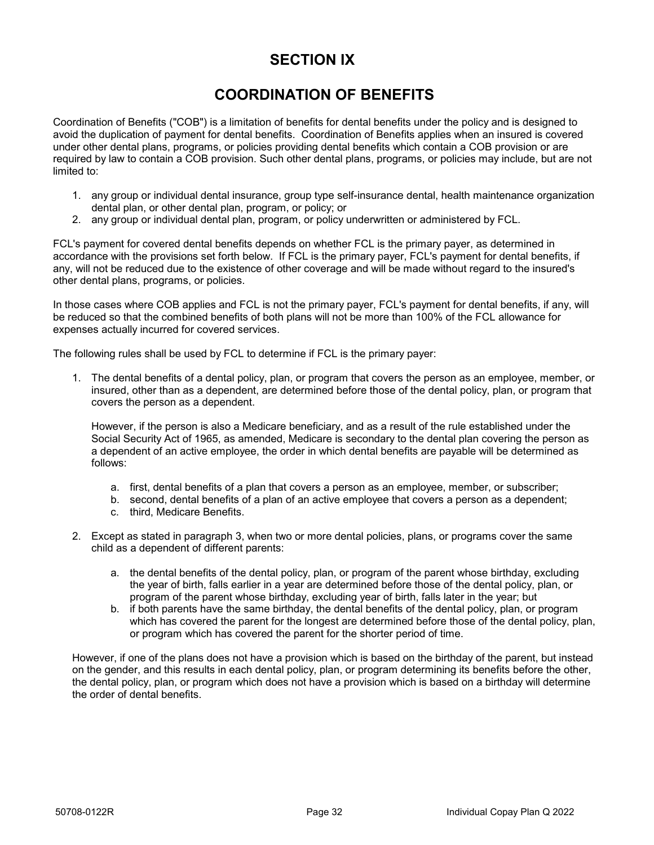## **SECTION IX**

# **COORDINATION OF BENEFITS**

Coordination of Benefits ("COB") is a limitation of benefits for dental benefits under the policy and is designed to avoid the duplication of payment for dental benefits. Coordination of Benefits applies when an insured is covered under other dental plans, programs, or policies providing dental benefits which contain a COB provision or are required by law to contain a COB provision. Such other dental plans, programs, or policies may include, but are not limited to:

- 1. any group or individual dental insurance, group type self-insurance dental, health maintenance organization dental plan, or other dental plan, program, or policy; or
- 2. any group or individual dental plan, program, or policy underwritten or administered by FCL.

FCL's payment for covered dental benefits depends on whether FCL is the primary payer, as determined in accordance with the provisions set forth below. If FCL is the primary payer, FCL's payment for dental benefits, if any, will not be reduced due to the existence of other coverage and will be made without regard to the insured's other dental plans, programs, or policies. under downt plane, programs, or poidoles providing dentit benefit the incomination at COS (providing control of the method plane programs, or policies may include, but are need to represent the propriation of the state inc

In those cases where COB applies and FCL is not the primary payer, FCL's payment for dental benefits, if any, will be reduced so that the combined benefits of both plans will not be more than 100% of the FCL allowance for expenses actually incurred for covered services.

The following rules shall be used by FCL to determine if FCL is the primary payer:

1. The dental benefits of a dental policy, plan, or program that covers the person as an employee, member, or insured, other than as a dependent, are determined before those of the dental policy, plan, or program that covers the person as a dependent.

However, if the person is also a Medicare beneficiary, and as a result of the rule established under the Social Security Act of 1965, as amended, Medicare is secondary to the dental plan covering the person as a dependent of an active employee, the order in which dental benefits are payable will be determined as follows:

- a. first, dental benefits of a plan that covers a person as an employee, member, or subscriber;
- b. second, dental benefits of a plan of an active employee that covers a person as a dependent;
- c. third, Medicare Benefits.
- 2. Except as stated in paragraph 3, when two or more dental policies, plans, or programs cover the same child as a dependent of different parents:
	- a. the dental benefits of the dental policy, plan, or program of the parent whose birthday, excluding the year of birth, falls earlier in a year are determined before those of the dental policy, plan, or program of the parent whose birthday, excluding year of birth, falls later in the year; but
	- b. if both parents have the same birthday, the dental benefits of the dental policy, plan, or program which has covered the parent for the longest are determined before those of the dental policy, plan, or program which has covered the parent for the shorter period of time.

However, if one of the plans does not have a provision which is based on the birthday of the parent, but instead on the gender, and this results in each dental policy, plan, or program determining its benefits before the other, the dental policy, plan, or program which does not have a provision which is based on a birthday will determine the order of dental benefits.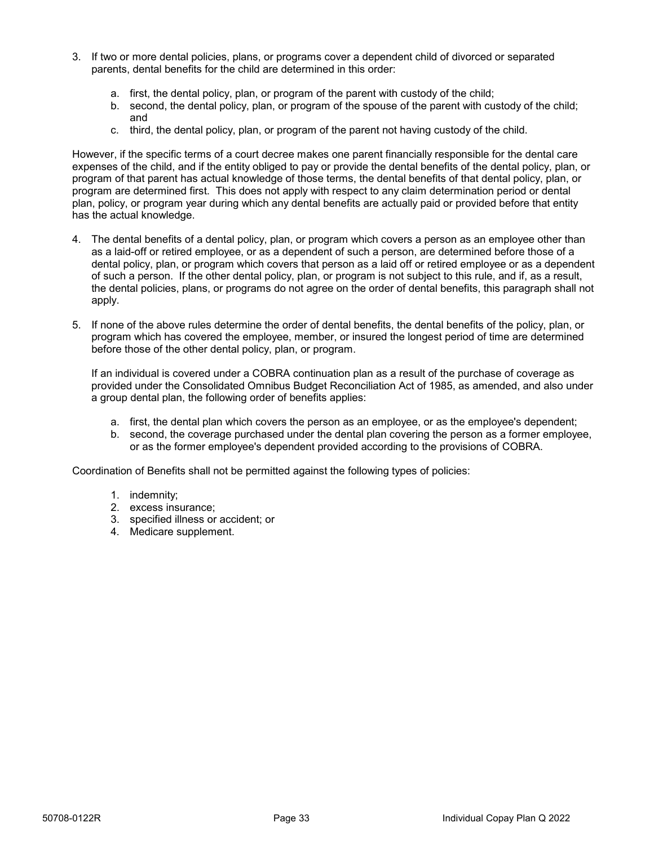- 3. If two or more dental policies, plans, or programs cover a dependent child of divorced or separated parents, dental benefits for the child are determined in this order:
	- a. first, the dental policy, plan, or program of the parent with custody of the child;
	- b. second, the dental policy, plan, or program of the spouse of the parent with custody of the child; and
	- c. third, the dental policy, plan, or program of the parent not having custody of the child.

However, if the specific terms of a court decree makes one parent financially responsible for the dental care expenses of the child, and if the entity obliged to pay or provide the dental benefits of the dental policy, plan, or program of that parent has actual knowledge of those terms, the dental benefits of that dental policy, plan, or program are determined first. This does not apply with respect to any claim determination period or dental plan, policy, or program year during which any dental benefits are actually paid or provided before that entity has the actual knowledge.

- 4. The dental benefits of a dental policy, plan, or program which covers a person as an employee other than as a laid-off or retired employee, or as a dependent of such a person, are determined before those of a dental policy, plan, or program which covers that person as a laid off or retired employee or as a dependent of such a person. If the other dental policy, plan, or program is not subject to this rule, and if, as a result, the dental policies, plans, or programs do not agree on the order of dental benefits, this paragraph shall not apply. However, if the specific terms of a court decree maker one parent firancially responsible for the dentations<br>of program are determined figs. This does not apply with respect to any dental control of the proparties of the c
	- 5. If none of the above rules determine the order of dental benefits, the dental benefits of the policy, plan, or program which has covered the employee, member, or insured the longest period of time are determined before those of the other dental policy, plan, or program.

If an individual is covered under a COBRA continuation plan as a result of the purchase of coverage as provided under the Consolidated Omnibus Budget Reconciliation Act of 1985, as amended, and also under a group dental plan, the following order of benefits applies:

- a. first, the dental plan which covers the person as an employee, or as the employee's dependent;
- b. second, the coverage purchased under the dental plan covering the person as a former employee, or as the former employee's dependent provided according to the provisions of COBRA.

Coordination of Benefits shall not be permitted against the following types of policies:

- 1. indemnity;
- 2. excess insurance;
- 3. specified illness or accident; or
- 4. Medicare supplement.